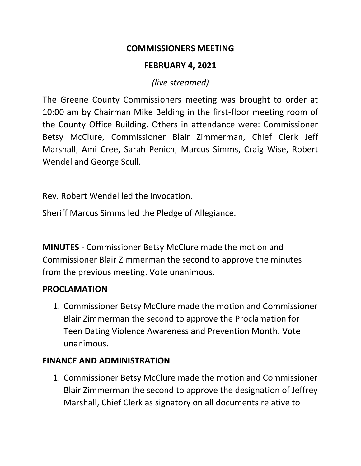#### **COMMISSIONERS MEETING**

### **FEBRUARY 4, 2021**

*(live streamed)*

The Greene County Commissioners meeting was brought to order at 10:00 am by Chairman Mike Belding in the first-floor meeting room of the County Office Building. Others in attendance were: Commissioner Betsy McClure, Commissioner Blair Zimmerman, Chief Clerk Jeff Marshall, Ami Cree, Sarah Penich, Marcus Simms, Craig Wise, Robert Wendel and George Scull.

Rev. Robert Wendel led the invocation.

Sheriff Marcus Simms led the Pledge of Allegiance.

**MINUTES** - Commissioner Betsy McClure made the motion and Commissioner Blair Zimmerman the second to approve the minutes from the previous meeting. Vote unanimous.

### **PROCLAMATION**

1. Commissioner Betsy McClure made the motion and Commissioner Blair Zimmerman the second to approve the Proclamation for Teen Dating Violence Awareness and Prevention Month. Vote unanimous.

### **FINANCE AND ADMINISTRATION**

1. Commissioner Betsy McClure made the motion and Commissioner Blair Zimmerman the second to approve the designation of Jeffrey Marshall, Chief Clerk as signatory on all documents relative to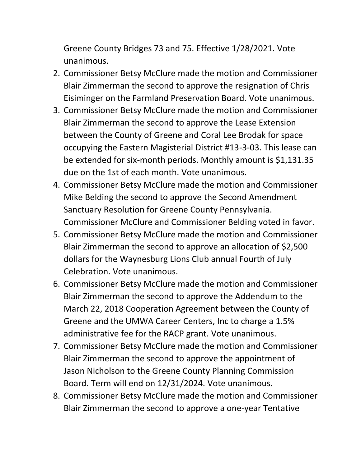Greene County Bridges 73 and 75. Effective 1/28/2021. Vote unanimous.

- 2. Commissioner Betsy McClure made the motion and Commissioner Blair Zimmerman the second to approve the resignation of Chris Eisiminger on the Farmland Preservation Board. Vote unanimous.
- 3. Commissioner Betsy McClure made the motion and Commissioner Blair Zimmerman the second to approve the Lease Extension between the County of Greene and Coral Lee Brodak for space occupying the Eastern Magisterial District #13-3-03. This lease can be extended for six-month periods. Monthly amount is \$1,131.35 due on the 1st of each month. Vote unanimous.
- 4. Commissioner Betsy McClure made the motion and Commissioner Mike Belding the second to approve the Second Amendment Sanctuary Resolution for Greene County Pennsylvania. Commissioner McClure and Commissioner Belding voted in favor.
- 5. Commissioner Betsy McClure made the motion and Commissioner Blair Zimmerman the second to approve an allocation of \$2,500 dollars for the Waynesburg Lions Club annual Fourth of July Celebration. Vote unanimous.
- 6. Commissioner Betsy McClure made the motion and Commissioner Blair Zimmerman the second to approve the Addendum to the March 22, 2018 Cooperation Agreement between the County of Greene and the UMWA Career Centers, Inc to charge a 1.5% administrative fee for the RACP grant. Vote unanimous.
- 7. Commissioner Betsy McClure made the motion and Commissioner Blair Zimmerman the second to approve the appointment of Jason Nicholson to the Greene County Planning Commission Board. Term will end on 12/31/2024. Vote unanimous.
- 8. Commissioner Betsy McClure made the motion and Commissioner Blair Zimmerman the second to approve a one-year Tentative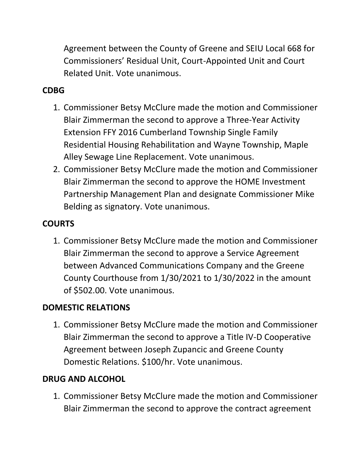Agreement between the County of Greene and SEIU Local 668 for Commissioners' Residual Unit, Court-Appointed Unit and Court Related Unit. Vote unanimous.

### **CDBG**

- 1. Commissioner Betsy McClure made the motion and Commissioner Blair Zimmerman the second to approve a Three-Year Activity Extension FFY 2016 Cumberland Township Single Family Residential Housing Rehabilitation and Wayne Township, Maple Alley Sewage Line Replacement. Vote unanimous.
- 2. Commissioner Betsy McClure made the motion and Commissioner Blair Zimmerman the second to approve the HOME Investment Partnership Management Plan and designate Commissioner Mike Belding as signatory. Vote unanimous.

## **COURTS**

1. Commissioner Betsy McClure made the motion and Commissioner Blair Zimmerman the second to approve a Service Agreement between Advanced Communications Company and the Greene County Courthouse from 1/30/2021 to 1/30/2022 in the amount of \$502.00. Vote unanimous.

# **DOMESTIC RELATIONS**

1. Commissioner Betsy McClure made the motion and Commissioner Blair Zimmerman the second to approve a Title IV-D Cooperative Agreement between Joseph Zupancic and Greene County Domestic Relations. \$100/hr. Vote unanimous.

# **DRUG AND ALCOHOL**

1. Commissioner Betsy McClure made the motion and Commissioner Blair Zimmerman the second to approve the contract agreement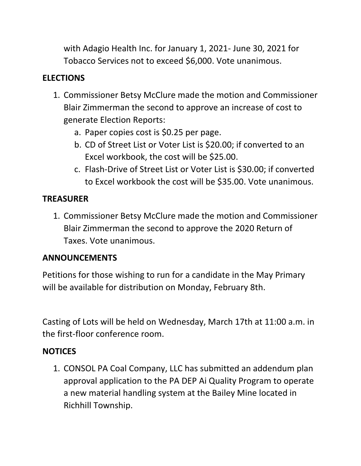with Adagio Health Inc. for January 1, 2021- June 30, 2021 for Tobacco Services not to exceed \$6,000. Vote unanimous.

## **ELECTIONS**

- 1. Commissioner Betsy McClure made the motion and Commissioner Blair Zimmerman the second to approve an increase of cost to generate Election Reports:
	- a. Paper copies cost is \$0.25 per page.
	- b. CD of Street List or Voter List is \$20.00; if converted to an Excel workbook, the cost will be \$25.00.
	- c. Flash-Drive of Street List or Voter List is \$30.00; if converted to Excel workbook the cost will be \$35.00. Vote unanimous.

## **TREASURER**

1. Commissioner Betsy McClure made the motion and Commissioner Blair Zimmerman the second to approve the 2020 Return of Taxes. Vote unanimous.

## **ANNOUNCEMENTS**

Petitions for those wishing to run for a candidate in the May Primary will be available for distribution on Monday, February 8th.

Casting of Lots will be held on Wednesday, March 17th at 11:00 a.m. in the first-floor conference room.

## **NOTICES**

1. CONSOL PA Coal Company, LLC has submitted an addendum plan approval application to the PA DEP Ai Quality Program to operate a new material handling system at the Bailey Mine located in Richhill Township.